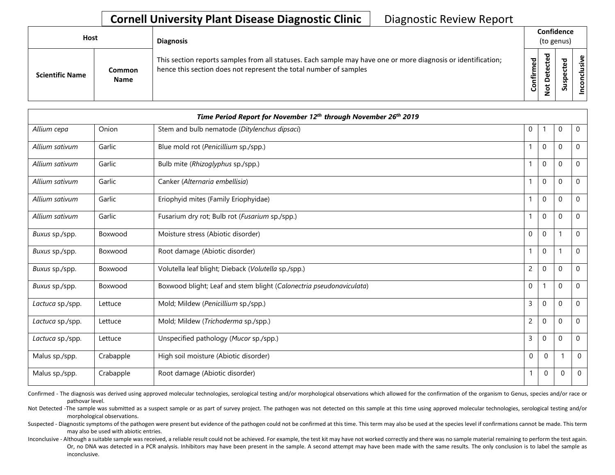## **Cornell University Plant Disease Diagnostic Clinic | Diagnostic Review Report**

| <b>Host</b>            |                              | <b>Diagnosis</b>                                                                                                                                                                   |                   | Confidence<br>(to genus) |                  |                     |  |  |
|------------------------|------------------------------|------------------------------------------------------------------------------------------------------------------------------------------------------------------------------------|-------------------|--------------------------|------------------|---------------------|--|--|
| <b>Scientific Name</b> | <b>Common</b><br><b>Name</b> | This section reports samples from all statuses. Each sample may have one or more diagnosis or identification;<br>hence this section does not represent the total number of samples | ರ<br>ω<br>Confirm | ಕ<br>ω<br>ັ<br>ω         | ௨<br>s<br>-<br>S | ഄ<br><u>'ল</u><br>S |  |  |

| Time Period Report for November 12 <sup>th</sup> through November 26 <sup>th</sup> 2019 |           |                                                                     |                |              |                          |             |
|-----------------------------------------------------------------------------------------|-----------|---------------------------------------------------------------------|----------------|--------------|--------------------------|-------------|
| Allium cepa                                                                             | Onion     | Stem and bulb nematode (Ditylenchus dipsaci)                        | 0              |              | 0                        | 0           |
| Allium sativum                                                                          | Garlic    | Blue mold rot (Penicillium sp./spp.)                                |                | 0            | 0                        | 0           |
| Allium sativum                                                                          | Garlic    | Bulb mite (Rhizoglyphus sp./spp.)                                   |                | 0            | $\mathbf 0$              | 0           |
| Allium sativum                                                                          | Garlic    | Canker (Alternaria embellisia)                                      | 1              | $\mathbf 0$  | $\pmb{0}$                | 0           |
| Allium sativum                                                                          | Garlic    | Eriophyid mites (Family Eriophyidae)                                | 1              | $\mathbf{0}$ | $\mathbf 0$              | 0           |
| Allium sativum                                                                          | Garlic    | Fusarium dry rot; Bulb rot (Fusarium sp./spp.)                      |                | 0            | $\mathbf 0$              | 0           |
| Buxus sp./spp.                                                                          | Boxwood   | Moisture stress (Abiotic disorder)                                  | $\mathbf 0$    | $\mathbf 0$  | $\overline{\phantom{a}}$ | 0           |
| Buxus sp./spp.                                                                          | Boxwood   | Root damage (Abiotic disorder)                                      |                | 0            |                          | 0           |
| Buxus sp./spp.                                                                          | Boxwood   | Volutella leaf blight; Dieback (Volutella sp./spp.)                 | $\overline{c}$ | 0            | $\mathbf 0$              | 0           |
| Buxus sp./spp.                                                                          | Boxwood   | Boxwood blight; Leaf and stem blight (Calonectria pseudonaviculata) | $\mathbf 0$    |              | $\mathbf 0$              | 0           |
| Lactuca sp./spp.                                                                        | Lettuce   | Mold; Mildew (Penicillium sp./spp.)                                 | $\overline{3}$ | 0            | $\mathbf 0$              | $\Omega$    |
| Lactuca sp./spp.                                                                        | Lettuce   | Mold; Mildew (Trichoderma sp./spp.)                                 | 2              | 0            | $\mathbf 0$              | 0           |
| Lactuca sp./spp.                                                                        | Lettuce   | Unspecified pathology (Mucor sp./spp.)                              | 3              | 0            | $\mathbf 0$              | 0           |
| Malus sp./spp.                                                                          | Crabapple | High soil moisture (Abiotic disorder)                               | $\pmb{0}$      | $\mathbf 0$  |                          | $\mathbf 0$ |
| Malus sp./spp.                                                                          | Crabapple | Root damage (Abiotic disorder)                                      |                | 0            | 0                        | 0           |

Confirmed - The diagnosis was derived using approved molecular technologies, serological testing and/or morphological observations which allowed for the confirmation of the organism to Genus, species and/or race or pathovar level.

Not Detected -The sample was submitted as a suspect sample or as part of survey project. The pathogen was not detected on this sample at this time using approved molecular technologies, serological testing and/or morphological observations.

Suspected - Diagnostic symptoms of the pathogen were present but evidence of the pathogen could not be confirmed at this time. This term may also be used at the species level if confirmations cannot be made. This term may also be used with abiotic entries.

Or, no DNA was detected in a PCR analysis. Inhibitors may have been present in the sample. A second attempt may have been made with the same results. The only conclusion is to label the sample as Inconclusive - Although a suitable sample was received, a reliable result could not be achieved. For example, the test kit may have not worked correctly and there was no sample material remaining to perform the test again. inconclusive.